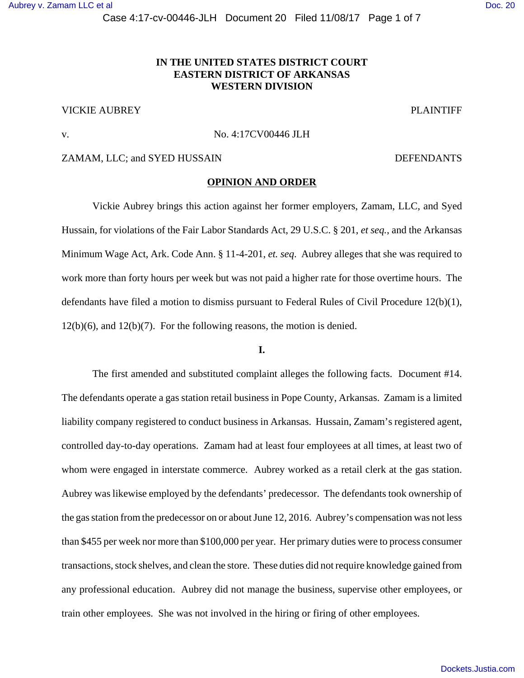Case 4:17-cv-00446-JLH Document 20 Filed 11/08/17 Page 1 of 7

# **IN THE UNITED STATES DISTRICT COURT EASTERN DISTRICT OF ARKANSAS WESTERN DIVISION**

# VICKIE AUBREY PLAINTIFF

#### v. No. 4:17CV00446 JLH

#### ZAMAM, LLC; and SYED HUSSAIN DEFENDANTS

#### **OPINION AND ORDER**

Vickie Aubrey brings this action against her former employers, Zamam, LLC, and Syed Hussain, for violations of the Fair Labor Standards Act, 29 U.S.C. § 201, *et seq.*, and the Arkansas Minimum Wage Act, Ark. Code Ann. § 11-4-201, *et. seq*. Aubrey alleges that she was required to work more than forty hours per week but was not paid a higher rate for those overtime hours. The defendants have filed a motion to dismiss pursuant to Federal Rules of Civil Procedure 12(b)(1), 12(b)(6), and 12(b)(7). For the following reasons, the motion is denied.

### **I.**

The first amended and substituted complaint alleges the following facts. Document #14. The defendants operate a gas station retail business in Pope County, Arkansas. Zamam is a limited liability company registered to conduct business in Arkansas. Hussain, Zamam's registered agent, controlled day-to-day operations. Zamam had at least four employees at all times, at least two of whom were engaged in interstate commerce. Aubrey worked as a retail clerk at the gas station. Aubrey was likewise employed by the defendants' predecessor. The defendants took ownership of the gas station from the predecessor on or about June 12, 2016. Aubrey's compensation was not less than \$455 per week nor more than \$100,000 per year. Her primary duties were to process consumer transactions, stock shelves, and clean the store. These duties did not require knowledge gained from any professional education. Aubrey did not manage the business, supervise other employees, or train other employees. She was not involved in the hiring or firing of other employees.

[Dockets.Justia.com](https://dockets.justia.com/)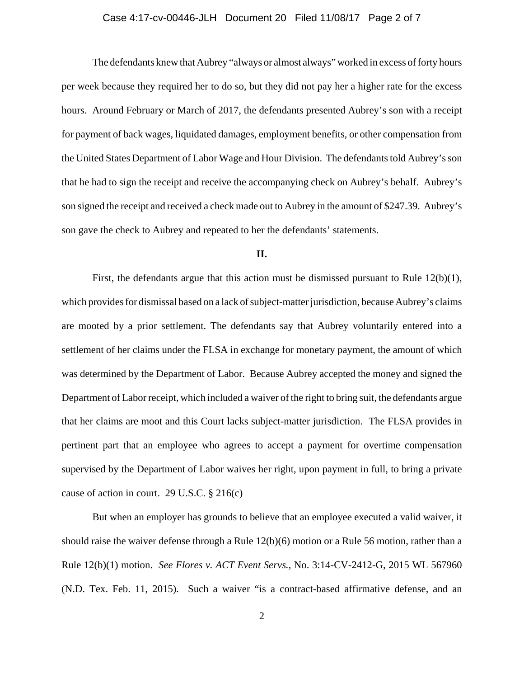# Case 4:17-cv-00446-JLH Document 20 Filed 11/08/17 Page 2 of 7

The defendants knew that Aubrey "always or almost always" worked in excess of forty hours per week because they required her to do so, but they did not pay her a higher rate for the excess hours. Around February or March of 2017, the defendants presented Aubrey's son with a receipt for payment of back wages, liquidated damages, employment benefits, or other compensation from the United States Department of Labor Wage and Hour Division. The defendants told Aubrey's son that he had to sign the receipt and receive the accompanying check on Aubrey's behalf. Aubrey's son signed the receipt and received a check made out to Aubrey in the amount of \$247.39. Aubrey's son gave the check to Aubrey and repeated to her the defendants' statements.

### **II.**

First, the defendants argue that this action must be dismissed pursuant to Rule 12(b)(1), which provides for dismissal based on a lack of subject-matter jurisdiction, because Aubrey's claims are mooted by a prior settlement. The defendants say that Aubrey voluntarily entered into a settlement of her claims under the FLSA in exchange for monetary payment, the amount of which was determined by the Department of Labor. Because Aubrey accepted the money and signed the Department of Labor receipt, which included a waiver of the right to bring suit, the defendants argue that her claims are moot and this Court lacks subject-matter jurisdiction. The FLSA provides in pertinent part that an employee who agrees to accept a payment for overtime compensation supervised by the Department of Labor waives her right, upon payment in full, to bring a private cause of action in court. 29 U.S.C. § 216(c)

But when an employer has grounds to believe that an employee executed a valid waiver, it should raise the waiver defense through a Rule 12(b)(6) motion or a Rule 56 motion, rather than a Rule 12(b)(1) motion. *See Flores v. ACT Event Servs.*, No. 3:14-CV-2412-G, 2015 WL 567960 (N.D. Tex. Feb. 11, 2015). Such a waiver "is a contract-based affirmative defense, and an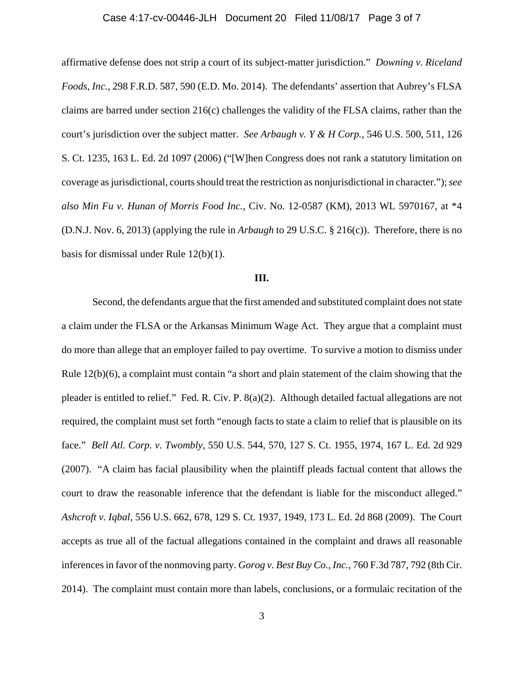#### Case 4:17-cv-00446-JLH Document 20 Filed 11/08/17 Page 3 of 7

affirmative defense does not strip a court of its subject-matter jurisdiction." *Downing v. Riceland Foods, Inc.*, 298 F.R.D. 587, 590 (E.D. Mo. 2014). The defendants' assertion that Aubrey's FLSA claims are barred under section 216(c) challenges the validity of the FLSA claims, rather than the court's jurisdiction over the subject matter. *See Arbaugh v. Y & H Corp.*, 546 U.S. 500, 511, 126 S. Ct. 1235, 163 L. Ed. 2d 1097 (2006) ("[W]hen Congress does not rank a statutory limitation on coverage as jurisdictional, courts should treat the restriction as nonjurisdictional in character."); *see also Min Fu v. Hunan of Morris Food Inc.*, Civ. No. 12-0587 (KM), 2013 WL 5970167, at \*4 (D.N.J. Nov. 6, 2013) (applying the rule in *Arbaugh* to 29 U.S.C. § 216(c)). Therefore, there is no basis for dismissal under Rule 12(b)(1).

### **III.**

Second, the defendants argue that the first amended and substituted complaint does not state a claim under the FLSA or the Arkansas Minimum Wage Act. They argue that a complaint must do more than allege that an employer failed to pay overtime. To survive a motion to dismiss under Rule 12(b)(6), a complaint must contain "a short and plain statement of the claim showing that the pleader is entitled to relief." Fed. R. Civ. P. 8(a)(2). Although detailed factual allegations are not required, the complaint must set forth "enough facts to state a claim to relief that is plausible on its face." *Bell Atl. Corp. v. Twombly*, 550 U.S. 544, 570, 127 S. Ct. 1955, 1974, 167 L. Ed. 2d 929 (2007). "A claim has facial plausibility when the plaintiff pleads factual content that allows the court to draw the reasonable inference that the defendant is liable for the misconduct alleged." *Ashcroft v. Iqbal*, 556 U.S. 662, 678, 129 S. Ct. 1937, 1949, 173 L. Ed. 2d 868 (2009). The Court accepts as true all of the factual allegations contained in the complaint and draws all reasonable inferences in favor of the nonmoving party. *Gorog v. Best Buy Co., Inc.*, 760 F.3d 787, 792 (8th Cir. 2014). The complaint must contain more than labels, conclusions, or a formulaic recitation of the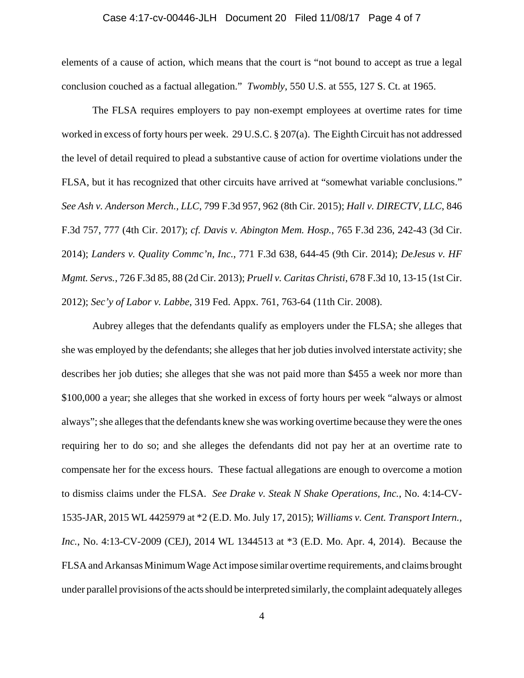#### Case 4:17-cv-00446-JLH Document 20 Filed 11/08/17 Page 4 of 7

elements of a cause of action, which means that the court is "not bound to accept as true a legal conclusion couched as a factual allegation." *Twombly*, 550 U.S. at 555, 127 S. Ct. at 1965.

The FLSA requires employers to pay non-exempt employees at overtime rates for time worked in excess of forty hours per week. 29 U.S.C. § 207(a).The Eighth Circuit has not addressed the level of detail required to plead a substantive cause of action for overtime violations under the FLSA, but it has recognized that other circuits have arrived at "somewhat variable conclusions." *See Ash v. Anderson Merch., LLC*, 799 F.3d 957, 962 (8th Cir. 2015); *Hall v. DIRECTV, LLC*, 846 F.3d 757, 777 (4th Cir. 2017); *cf. Davis v. Abington Mem. Hosp.*, 765 F.3d 236, 242-43 (3d Cir. 2014); *Landers v. Quality Commc'n, Inc.*, 771 F.3d 638, 644-45 (9th Cir. 2014); *DeJesus v. HF Mgmt. Servs.*, 726 F.3d 85, 88 (2d Cir. 2013); *Pruell v. Caritas Christi*, 678 F.3d 10, 13-15 (1st Cir. 2012); *Sec'y of Labor v. Labbe*, 319 Fed. Appx. 761, 763-64 (11th Cir. 2008).

Aubrey alleges that the defendants qualify as employers under the FLSA; she alleges that she was employed by the defendants; she alleges that her job duties involved interstate activity; she describes her job duties; she alleges that she was not paid more than \$455 a week nor more than \$100,000 a year; she alleges that she worked in excess of forty hours per week "always or almost always"; she alleges that the defendants knew she was working overtime because they were the ones requiring her to do so; and she alleges the defendants did not pay her at an overtime rate to compensate her for the excess hours. These factual allegations are enough to overcome a motion to dismiss claims under the FLSA. *See Drake v. Steak N Shake Operations, Inc.*, No. 4:14-CV-1535-JAR, 2015 WL 4425979 at \*2 (E.D. Mo. July 17, 2015); *Williams v. Cent. Transport Intern., Inc.*, No. 4:13-CV-2009 (CEJ), 2014 WL 1344513 at \*3 (E.D. Mo. Apr. 4, 2014). Because the FLSA and Arkansas Minimum Wage Act impose similar overtime requirements, and claims brought under parallel provisions of the acts should be interpreted similarly, the complaint adequately alleges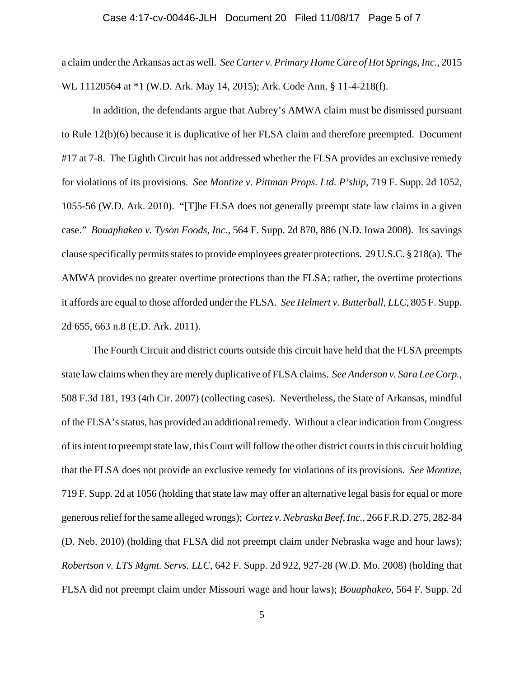#### Case 4:17-cv-00446-JLH Document 20 Filed 11/08/17 Page 5 of 7

a claim under the Arkansas act as well. *See Carter v. Primary Home Care of Hot Springs, Inc.*, 2015 WL 11120564 at \*1 (W.D. Ark. May 14, 2015); Ark. Code Ann. § 11-4-218(f).

In addition, the defendants argue that Aubrey's AMWA claim must be dismissed pursuant to Rule 12(b)(6) because it is duplicative of her FLSA claim and therefore preempted. Document #17 at 7-8.The Eighth Circuit has not addressed whether the FLSA provides an exclusive remedy for violations of its provisions. *See Montize v. Pittman Props. Ltd. P'ship*, 719 F. Supp. 2d 1052, 1055-56 (W.D. Ark. 2010). "[T]he FLSA does not generally preempt state law claims in a given case." *Bouaphakeo v. Tyson Foods, Inc.*, 564 F. Supp. 2d 870, 886 (N.D. Iowa 2008). Its savings clause specifically permits states to provide employees greater protections. 29 U.S.C. § 218(a). The AMWA provides no greater overtime protections than the FLSA; rather, the overtime protections it affords are equal to those afforded under the FLSA.*See Helmert v. Butterball, LLC*, 805 F. Supp. 2d 655, 663 n.8 (E.D. Ark. 2011).

The Fourth Circuit and district courts outside this circuit have held that the FLSA preempts state law claims when they are merely duplicative of FLSA claims. *See Anderson v. Sara Lee Corp.*, 508 F.3d 181, 193 (4th Cir. 2007) (collecting cases). Nevertheless, the State of Arkansas, mindful of the FLSA's status, has provided an additional remedy. Without a clear indication from Congress of its intent to preempt state law, this Court will follow the other district courts in this circuit holding that the FLSA does not provide an exclusive remedy for violations of its provisions. *See Montize*, 719 F. Supp. 2d at 1056 (holding that state law may offer an alternative legal basis for equal or more generous relief for the same alleged wrongs); *Cortez v. Nebraska Beef, Inc.*, 266 F.R.D. 275, 282-84 (D. Neb. 2010) (holding that FLSA did not preempt claim under Nebraska wage and hour laws); *Robertson v. LTS Mgmt. Servs. LLC*, 642 F. Supp. 2d 922, 927-28 (W.D. Mo. 2008) (holding that FLSA did not preempt claim under Missouri wage and hour laws); *Bouaphakeo*, 564 F. Supp. 2d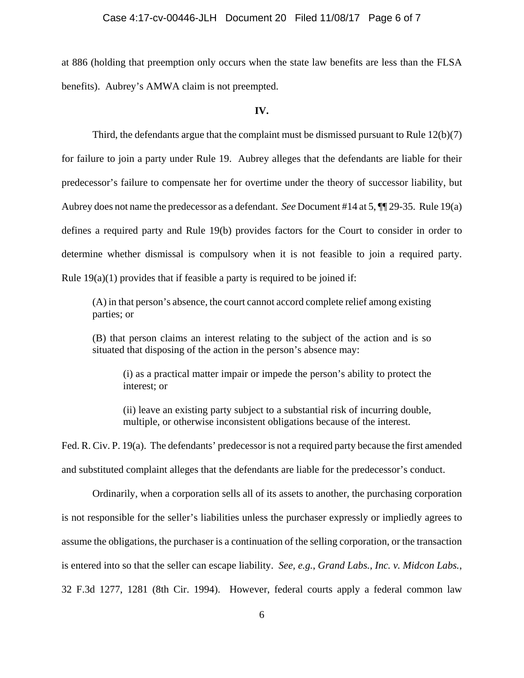#### Case 4:17-cv-00446-JLH Document 20 Filed 11/08/17 Page 6 of 7

at 886 (holding that preemption only occurs when the state law benefits are less than the FLSA benefits).Aubrey's AMWA claim is not preempted.

#### **IV.**

Third, the defendants argue that the complaint must be dismissed pursuant to Rule 12(b)(7) for failure to join a party under Rule 19. Aubrey alleges that the defendants are liable for their predecessor's failure to compensate her for overtime under the theory of successor liability, but Aubrey does not name the predecessor as a defendant. *See* Document #14 at 5, ¶¶ 29-35. Rule 19(a) defines a required party and Rule 19(b) provides factors for the Court to consider in order to determine whether dismissal is compulsory when it is not feasible to join a required party. Rule  $19(a)(1)$  provides that if feasible a party is required to be joined if:

(A) in that person's absence, the court cannot accord complete relief among existing parties; or

(B) that person claims an interest relating to the subject of the action and is so situated that disposing of the action in the person's absence may:

(i) as a practical matter impair or impede the person's ability to protect the interest; or

(ii) leave an existing party subject to a substantial risk of incurring double, multiple, or otherwise inconsistent obligations because of the interest.

Fed. R. Civ. P. 19(a). The defendants' predecessor is not a required party because the first amended and substituted complaint alleges that the defendants are liable for the predecessor's conduct.

Ordinarily, when a corporation sells all of its assets to another, the purchasing corporation is not responsible for the seller's liabilities unless the purchaser expressly or impliedly agrees to assume the obligations, the purchaser is a continuation of the selling corporation, or the transaction is entered into so that the seller can escape liability. *See, e.g.*, *Grand Labs., Inc. v. Midcon Labs.*, 32 F.3d 1277, 1281 (8th Cir. 1994). However, federal courts apply a federal common law